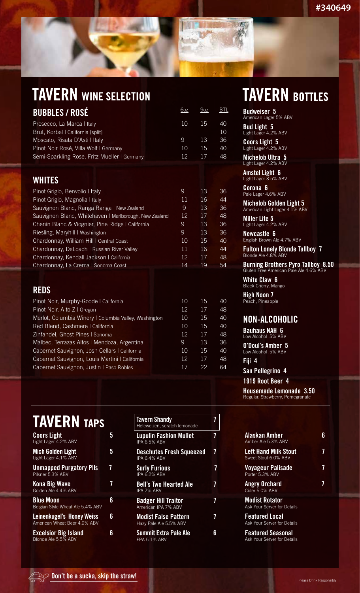## **TAVERN WINE SELECTION**

| <b>BUBBLES / ROSÉ</b>                        | 6oz      | 9oz | <b>BTL</b> |
|----------------------------------------------|----------|-----|------------|
| Prosecco, La Marca I Italy                   | 10       | 15  | 40         |
| Brut, Korbel   California [split]            |          |     | 10         |
| Moscato, Risata D'Asti I Italy               | <b>9</b> | 13  | 36         |
| Pinot Noir Rosé, Villa Wolf   Germany        | 10       | 15  | 40         |
| Semi-Sparkling Rose, Fritz Mueller I Germany | 12       | 17  | 48         |

#### **WHITES**

| Pinot Grigio, Benvolio I Italy                         | 9  | 13 | 36 |
|--------------------------------------------------------|----|----|----|
| Pinot Grigio, Magnolia I Italy                         | 11 | 16 | 44 |
| Sauvignon Blanc, Ranga Ranga   New Zealand             | 9  | 13 | 36 |
| Sauvignon Blanc, Whitehaven   Marlborough, New Zealand | 12 | 17 | 48 |
| Chenin Blanc & Viognier, Pine Ridge   California       | 9  | 13 | 36 |
| Riesling, Maryhill   Washington                        | 9  | 13 | 36 |
| Chardonnay, William Hill I Central Coast               | 10 | 15 | 40 |
| Chardonnay, DeLoach   Russian River Valley             | 11 | 16 | 44 |
| Chardonnay, Kendall Jackson   California               | 12 | 17 | 48 |
| Chardonnay, La Crema I Sonoma Coast                    | 14 | 19 | 54 |

#### **REDS**

| Pinot Noir, Murphy-Goode   California                 | 10 | 15 | 40 |
|-------------------------------------------------------|----|----|----|
| Pinot Noir, A to Z   Oregon                           | 12 | 17 | 48 |
| Merlot, Columbia Winery   Columbia Valley, Washington | 10 | 15 | 40 |
| Red Blend, Cashmere   California                      | 10 | 15 | 40 |
| Zinfandel, Ghost Pines   Sonoma                       | 12 | 17 | 48 |
| Malbec, Terrazas Altos   Mendoza, Argentina           | 9  | 13 | 36 |
| Cabernet Sauvignon, Josh Cellars   California         | 10 | 15 | 40 |
| Cabernet Sauvignon, Louis Martini I California        | 12 | 17 | 48 |
| Cabernet Sauvignon, Justin   Paso Robles              | 17 | 22 | 64 |
|                                                       |    |    |    |

| <b>TAVERN TAPS</b>                                   |   | T.<br>H |
|------------------------------------------------------|---|---------|
| <b>Coors Light</b><br>Light Lager 4.2% ABV           | 5 | Ĺ<br>IF |
| <b>Mich Golden Light</b><br>Light Lager 4.1% ABV     | 5 | D<br>IF |
| <b>Unmapped Purgatory Pils</b><br>Pilsner 5.3% ABV   |   | S<br>IF |
| <b>Kona Big Wave</b><br>Golden Ale 4.4% ABV          |   | B<br>IF |
| <b>Blue Moon</b><br>Belgian Style Wheat Ale 5.4% ABV | 6 | B<br>A  |

**Leinenkugel's Honey Weiss 6** American Wheat Beer 4.9% ABV **Excelsior Big Island 6**

Blonde Ale 5.5% ABV

| <b>Tavern Shandy</b><br>Hefeweizen, scratch lemonade  |   |
|-------------------------------------------------------|---|
| <b>Lupulin Fashion Mullet</b><br><b>IPA 6.5% ABV</b>  | 7 |
| <b>Deschutes Fresh Squeezed</b><br>IPA 64% ARV        |   |
| <b>Surly Furious</b><br><b>IPA 6.2% ABV</b>           |   |
| <b>Bell's Two Hearted Ale</b><br>IPA 7% ARV           |   |
| <b>Badger Hill Traitor</b><br>American IPA 7% ABV     |   |
| <b>Modist False Pattern</b><br>Hazy Pale Ale 5.5% ABV |   |
| <b>Summit Extra Pale Ale</b><br>EPA 5.1% ABV          | 6 |

## **TAVERN BOTTLES**

**Budweiser 5** American Lager 5% ABV

**Bud Light 5** Light Lager 4.2% ABV

**Coors Light 5** Light Lager 4.2% ABV

**Michelob Ultra 5** Light Lager 4.2% ABV

**Amstel Light 6** Light Lager 3.5% ABV

**Corona 6** Pale Lager 4.6% ABV **Michelob Golden Light 5** American Light Lager 4.1% ABV

**Miller Lite 5** Light Lager 4.2% ABV

**Newcastle 6** English Brown Ale 4.7% ABV

**Fulton Lonely Blonde Tallboy 7** Blonde Ale 4.8% ABV

**Burning Brothers Pyro Tallboy 8.50**  Gluten Free American Pale Ale 4.6% ABV

**White Claw 6** Black Cherry, Mango

**High Noon 7 P**eanple

#### **NON-ALCOHOLIC**

**Bauhaus NAH 6** Low Alcohol .5% ABV

**O'Doul's Amber 5** Low Alcohol .5% ABV

**Fiji 4**

**San Pellegrino 4**

**1919 Root Beer 4**

**Housemade Lemonade 3.50** Regular, Strawberry, Pomegranate

| Alaskan Amber<br>Amber Ale 5.3% ABV                  | Բ |
|------------------------------------------------------|---|
| <b>Left Hand Milk Stout</b><br>Sweet Stout 6.0% ABV  |   |
| Voyageur Palisade<br>Porter 5.3% ABV                 |   |
| <b>Angry Orchard</b><br>Cider 5.0% ABV               |   |
| <b>Modist Rotator</b><br>Ask Your Server for Details |   |
| <b>Featured Local</b><br>Ask Your Server for Details |   |

**Featured Seasonal** Ask Your Server for Details